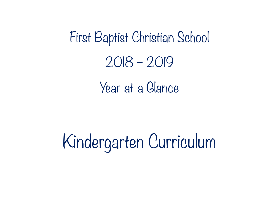First Baptist Christian School 2018 – 2019 Year at a Glance

Kindergarten Curriculum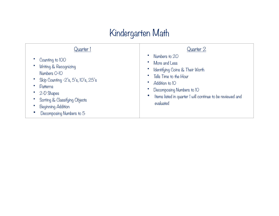# Kindergarten Math

| Quarter l                                                                                                                                                                                 | Quarter 2                                                                                                                                                                                            |
|-------------------------------------------------------------------------------------------------------------------------------------------------------------------------------------------|------------------------------------------------------------------------------------------------------------------------------------------------------------------------------------------------------|
| Counting to IOO                                                                                                                                                                           | Numbers to 20                                                                                                                                                                                        |
| Writing & Recognizing<br>Numbers O-IO<br>Skip Counting -2's, 5's, 10's, 25's<br>Patterns<br>2-D Shapes<br>Sorting & Classifying Objects<br>Beginning Addition<br>Decomposing Numbers to 5 | More and Less<br>Identifying Coins & Their Worth<br>Tells Time to the Hour<br>Addition to 10<br>Decomposing Numbers to IO<br>Items listed in quarter I will continue to be reviewed and<br>evaluated |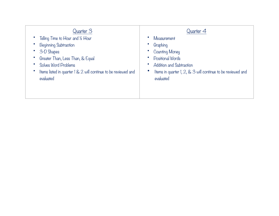| Quarter 3                                                      | Quarter 4                                                   |
|----------------------------------------------------------------|-------------------------------------------------------------|
| Telling Time to Hour and 1/2 Hour                              | Measurement                                                 |
| Beginning Subtraction                                          | Graphing                                                    |
| 3-D Shapes                                                     | <b>Counting Money</b>                                       |
| Greater Than, Less Than, & Equal                               | Positional Words                                            |
| Solves Word Problems                                           | <b>Addition and Subtraction</b>                             |
| Items listed in quarter 1 & 2 will continue to be reviewed and | Items in quarter 1, 2, & 3 will continue to be reviewed and |
| evaluated                                                      | evaluated                                                   |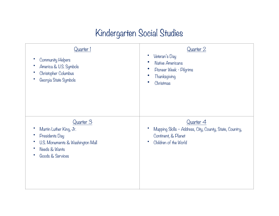#### Kindergarten Social Studies

| Quarter 1<br><b>Community Helpers</b><br>America & U.S. Symbols<br>Christopher Columbus<br>Georgia State Symbols                | Quarter 2<br>Veteran's Day<br><b>Native Americans</b><br>Pioneer Week - Pilgrims<br>Thanksgiving<br>Christmas        |
|---------------------------------------------------------------------------------------------------------------------------------|----------------------------------------------------------------------------------------------------------------------|
| Quarter 3<br>Martin Luther King, Jr.<br>Presidents Day<br>U.S. Monuments & Washington Mall<br>Needs & Wants<br>Goods & Services | Quarter 4<br>Mapping Skills - Address, City, County, State, Country,<br>Continent, & Planet<br>Children of the World |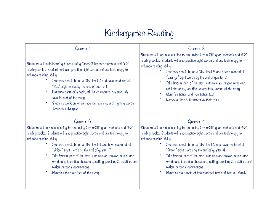#### Kindergarten Reading

| Quarter I                                                                      | Quarter 2                                                                      |
|--------------------------------------------------------------------------------|--------------------------------------------------------------------------------|
| Students will begin learning to read using Orton-Gillingham methods and A-Z    | Students will continue learning to read using Orton-Gillingham methods and A-Z |
| reading books. Students will also practice sight words and use technology to   | reading books. Students will also practice sight words and use technology to   |
| enhance reading ability.                                                       | enhance reading ability.                                                       |
| Students should be on a DRA level 2 and have mastered all                      | Students should be on a DRA level 3 and have mastered all                      |
| "Red" sight words by the end of quarter I                                      | "Orange" sight words by the end of quarter 2                                   |
| Describe parts of a book, tell the characters in a story, &                    | Tells favorite part of the story with relevant reason why, can                 |
| favorite part of the story                                                     | retell the story, identifies characters, setting of the story                  |
| Students work on letters, sounds, spelling, and rhyming words                  | Identifies fiction and non-fiction text                                        |
| throughout the year                                                            | Names author & illustrator & their roles                                       |
| Quarter 3                                                                      | Quarter 4                                                                      |
| Students will continue learning to read using Orton-Gillingham methods and A-Z | Students will continue learning to read using Orton-Gillingham methods and A-Z |
| reading books. Students will also practice sight words and use technology to   | reading books. Students will also practice sight words and use technology to   |
| enhance reading ability.                                                       | enhance reading ability.                                                       |
| Students should be on a DRA level 4 and have mastered all                      | Students should be on a DRA level 6 and have mastered all                      |
| "Yellow" sight words by the end of quarter 3                                   | "Green" sight words by the end of quarter 4                                    |
| Tells favorite part of the story with relevant reason, retells story           | Tells favorite part of the story with relevant reason, retells story           |
| w/ details, identifies characters, setting, problem, & solution, and           | w/ details, identifies characters, setting, problem, & solution, and           |
| makes personal connections                                                     | makes personal connections                                                     |
| Identifies the main idea of the story                                          | Identifies main topic of informational text and lists key details              |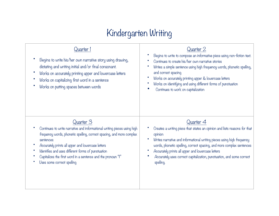# Kindergarten Writing

| Quarter l<br>Begins to write his/her own narrative story using drawing,<br>dictating and writing initial and/or final consonant.<br>Works on accurately printing upper and lowercase letters<br>Works on capitalizing first word in a sentence<br>Works on putting spaces between words | Quarter 2<br>Begins to write to compose an informative piece using non-fiction text.<br>Continues to create his/her own narrative stories<br>Writes a simple sentence using high frequency words, phonetic spelling,<br>and correct spacing<br>Works on accurately printing upper & lowercase letters<br>Works on identifying and using different forms of punctuation<br>Continues to work on capitalization |
|-----------------------------------------------------------------------------------------------------------------------------------------------------------------------------------------------------------------------------------------------------------------------------------------|---------------------------------------------------------------------------------------------------------------------------------------------------------------------------------------------------------------------------------------------------------------------------------------------------------------------------------------------------------------------------------------------------------------|
| Quarter 3                                                                                                                                                                                                                                                                               | Quarter 4                                                                                                                                                                                                                                                                                                                                                                                                     |
| Continues to write narrative and informational writing pieces using high                                                                                                                                                                                                                | Creates a writing piece that states an opinion and lists reasons for that                                                                                                                                                                                                                                                                                                                                     |
| frequency words, phonetic spelling, correct spacing, and more complex                                                                                                                                                                                                                   | opinion                                                                                                                                                                                                                                                                                                                                                                                                       |
| sentences                                                                                                                                                                                                                                                                               | Writes narrative and informational writing pieces using high frequency                                                                                                                                                                                                                                                                                                                                        |
| Accurately prints all upper and lowercase letters                                                                                                                                                                                                                                       | words, phonetic spelling, correct spacing, and more complex sentences                                                                                                                                                                                                                                                                                                                                         |
| Identifies and uses different forms of punctuation                                                                                                                                                                                                                                      | Accurately prints all upper and lowercase letters                                                                                                                                                                                                                                                                                                                                                             |
| Capitalizes the first word in a sentence and the pronoun "I"                                                                                                                                                                                                                            | Accurately uses correct capitalization, punctuation, and some correct                                                                                                                                                                                                                                                                                                                                         |
| Uses some correct spelling                                                                                                                                                                                                                                                              | spelling.                                                                                                                                                                                                                                                                                                                                                                                                     |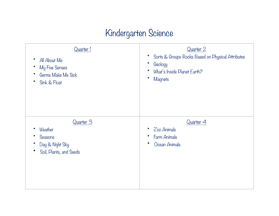#### Kindergarten Science

| Quarter 1<br>All About Me<br>My Five Senses<br>Germs Make Me Sick<br>Sink & Float<br>$\bullet$ | Quarter 2<br>Sorts & Groups Rocks Based on Physical Attributes<br>Geology<br>What's Inside Planet Earth?<br>Magnets |
|------------------------------------------------------------------------------------------------|---------------------------------------------------------------------------------------------------------------------|
| Quarter 3<br>Weather<br>Seasons<br>Day & Night Sky<br>Soil, Plants, and Seeds<br>$\bullet$     | Quarter 4<br>Zoo Animals<br>Farm Animals<br>Ocean Animals                                                           |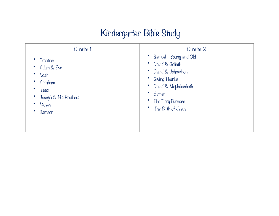# Kindergarten Bible Study

| Quarter I                                                                                           | Quarter 2                                                                                                                                                    |
|-----------------------------------------------------------------------------------------------------|--------------------------------------------------------------------------------------------------------------------------------------------------------------|
| Creation<br>Adam & Eve<br>Noah<br>G<br>Abraham<br>lsaac<br>Joseph & His Brothers<br>Moses<br>Samson | Samuel - Young and Old<br>David & Goliath<br>David & Johnathon<br>Giving Thanks<br>David & Mephibosheth<br>Esther<br>The Fiery Furnace<br>The Birth of Jesus |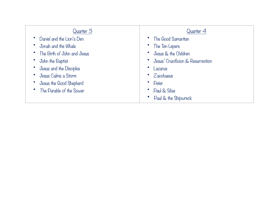| Quarter 3                     | Quarter 4                         |
|-------------------------------|-----------------------------------|
| Daniel and the Lion's Den     | The Good Samaritan                |
| Jonah and the Whale           | The Ten Lepers                    |
| • The Birth of John and Jesus | Jesus & the Children              |
| John the Baptist              | Jesus' Crucifixion & Resurrection |
| Jesus and the Disciples       | Lazarus                           |
| Jesus Calms a Storm           | Zacchaeus                         |
| Jesus the Good Shepherd       | Peter                             |
| The Parable of the Sower      | Paul & Silas                      |
|                               | Paul & the Shipwreck              |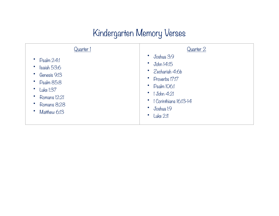#### Kindergarten Memory Verses

| Quarter 1                                                                                                                       | Quarter 2                                                                                                                                                     |
|---------------------------------------------------------------------------------------------------------------------------------|---------------------------------------------------------------------------------------------------------------------------------------------------------------|
| $p_{\text{salm}} 24$ :<br>Isaiah 53:6<br>Genesis 9:13<br>Psalm 85:8<br>Luke 1:37<br>Romans 12:21<br>Romans 8:28<br>Matthew 6:13 | Joshua 3:9<br>John 14:15<br>Zechariah 4:6b<br>Proverbs 17:17<br>$p_{\text{salm}}$ 106:1<br>$1$ John 4:21<br>1 Corinthians 16:13-14<br>Joshua I:9<br>Luke 2:11 |